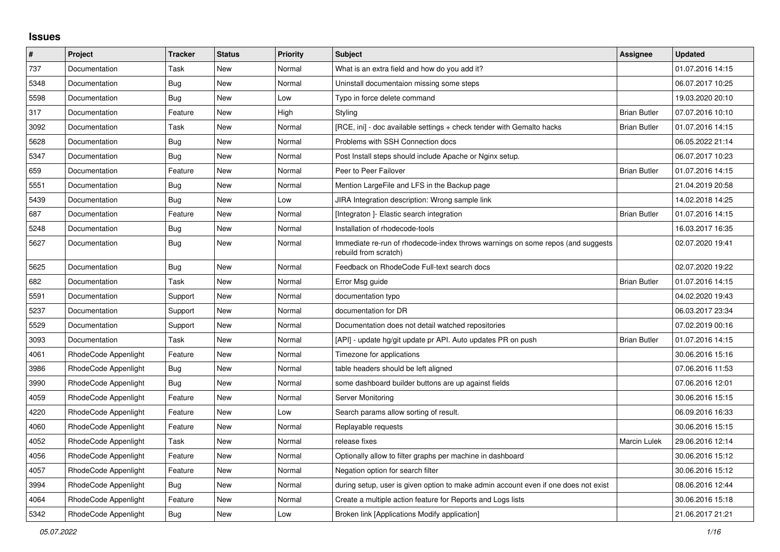## **Issues**

| $\#$ | Project              | Tracker    | <b>Status</b> | <b>Priority</b> | Subject                                                                                                  | <b>Assignee</b>     | <b>Updated</b>   |
|------|----------------------|------------|---------------|-----------------|----------------------------------------------------------------------------------------------------------|---------------------|------------------|
| 737  | Documentation        | Task       | New           | Normal          | What is an extra field and how do you add it?                                                            |                     | 01.07.2016 14:15 |
| 5348 | Documentation        | Bug        | New           | Normal          | Uninstall documentaion missing some steps                                                                |                     | 06.07.2017 10:25 |
| 5598 | Documentation        | <b>Bug</b> | New           | Low             | Typo in force delete command                                                                             |                     | 19.03.2020 20:10 |
| 317  | Documentation        | Feature    | New           | High            | Styling                                                                                                  | <b>Brian Butler</b> | 07.07.2016 10:10 |
| 3092 | Documentation        | Task       | New           | Normal          | [RCE, ini] - doc available settings + check tender with Gemalto hacks                                    | <b>Brian Butler</b> | 01.07.2016 14:15 |
| 5628 | Documentation        | <b>Bug</b> | New           | Normal          | Problems with SSH Connection docs                                                                        |                     | 06.05.2022 21:14 |
| 5347 | Documentation        | Bug        | New           | Normal          | Post Install steps should include Apache or Nginx setup.                                                 |                     | 06.07.2017 10:23 |
| 659  | Documentation        | Feature    | New           | Normal          | Peer to Peer Failover                                                                                    | <b>Brian Butler</b> | 01.07.2016 14:15 |
| 5551 | Documentation        | Bug        | New           | Normal          | Mention LargeFile and LFS in the Backup page                                                             |                     | 21.04.2019 20:58 |
| 5439 | Documentation        | Bug        | New           | Low             | JIRA Integration description: Wrong sample link                                                          |                     | 14.02.2018 14:25 |
| 687  | Documentation        | Feature    | <b>New</b>    | Normal          | [Integraton] - Elastic search integration                                                                | <b>Brian Butler</b> | 01.07.2016 14:15 |
| 5248 | Documentation        | Bug        | New           | Normal          | Installation of rhodecode-tools                                                                          |                     | 16.03.2017 16:35 |
| 5627 | Documentation        | Bug        | New           | Normal          | Immediate re-run of rhodecode-index throws warnings on some repos (and suggests<br>rebuild from scratch) |                     | 02.07.2020 19:41 |
| 5625 | Documentation        | Bug        | New           | Normal          | Feedback on RhodeCode Full-text search docs                                                              |                     | 02.07.2020 19:22 |
| 682  | Documentation        | Task       | New           | Normal          | Error Msg guide                                                                                          | <b>Brian Butler</b> | 01.07.2016 14:15 |
| 5591 | Documentation        | Support    | <b>New</b>    | Normal          | documentation typo                                                                                       |                     | 04.02.2020 19:43 |
| 5237 | Documentation        | Support    | New           | Normal          | documentation for DR                                                                                     |                     | 06.03.2017 23:34 |
| 5529 | Documentation        | Support    | New           | Normal          | Documentation does not detail watched repositories                                                       |                     | 07.02.2019 00:16 |
| 3093 | Documentation        | Task       | New           | Normal          | [API] - update hg/git update pr API. Auto updates PR on push                                             | <b>Brian Butler</b> | 01.07.2016 14:15 |
| 4061 | RhodeCode Appenlight | Feature    | New           | Normal          | Timezone for applications                                                                                |                     | 30.06.2016 15:16 |
| 3986 | RhodeCode Appenlight | <b>Bug</b> | <b>New</b>    | Normal          | table headers should be left aligned                                                                     |                     | 07.06.2016 11:53 |
| 3990 | RhodeCode Appenlight | Bug        | New           | Normal          | some dashboard builder buttons are up against fields                                                     |                     | 07.06.2016 12:01 |
| 4059 | RhodeCode Appenlight | Feature    | New           | Normal          | Server Monitoring                                                                                        |                     | 30.06.2016 15:15 |
| 4220 | RhodeCode Appenlight | Feature    | New           | Low             | Search params allow sorting of result.                                                                   |                     | 06.09.2016 16:33 |
| 4060 | RhodeCode Appenlight | Feature    | New           | Normal          | Replayable requests                                                                                      |                     | 30.06.2016 15:15 |
| 4052 | RhodeCode Appenlight | Task       | New           | Normal          | release fixes                                                                                            | Marcin Lulek        | 29.06.2016 12:14 |
| 4056 | RhodeCode Appenlight | Feature    | New           | Normal          | Optionally allow to filter graphs per machine in dashboard                                               |                     | 30.06.2016 15:12 |
| 4057 | RhodeCode Appenlight | Feature    | New           | Normal          | Negation option for search filter                                                                        |                     | 30.06.2016 15:12 |
| 3994 | RhodeCode Appenlight | <b>Bug</b> | New           | Normal          | during setup, user is given option to make admin account even if one does not exist                      |                     | 08.06.2016 12:44 |
| 4064 | RhodeCode Appenlight | Feature    | New           | Normal          | Create a multiple action feature for Reports and Logs lists                                              |                     | 30.06.2016 15:18 |
| 5342 | RhodeCode Appenlight | <b>Bug</b> | New           | Low             | Broken link [Applications Modify application]                                                            |                     | 21.06.2017 21:21 |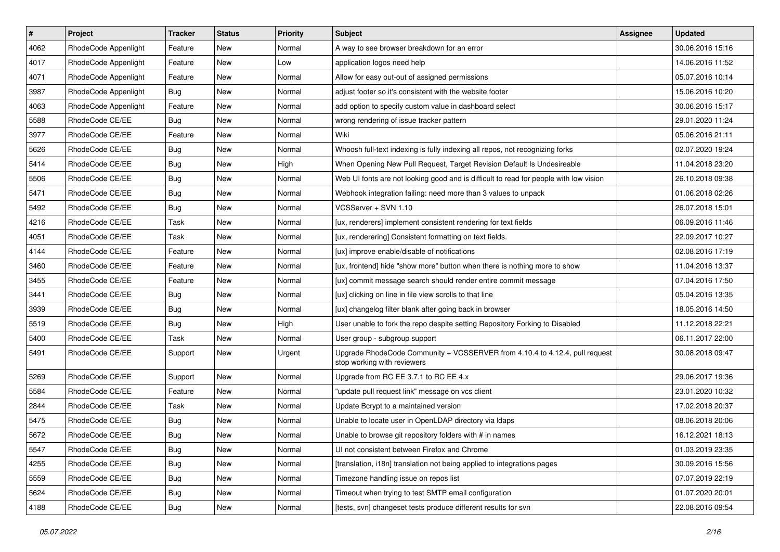| $\vert$ # | Project              | <b>Tracker</b> | <b>Status</b> | <b>Priority</b> | <b>Subject</b>                                                                                             | <b>Assignee</b> | <b>Updated</b>   |
|-----------|----------------------|----------------|---------------|-----------------|------------------------------------------------------------------------------------------------------------|-----------------|------------------|
| 4062      | RhodeCode Appenlight | Feature        | New           | Normal          | A way to see browser breakdown for an error                                                                |                 | 30.06.2016 15:16 |
| 4017      | RhodeCode Appenlight | Feature        | <b>New</b>    | Low             | application logos need help                                                                                |                 | 14.06.2016 11:52 |
| 4071      | RhodeCode Appenlight | Feature        | New           | Normal          | Allow for easy out-out of assigned permissions                                                             |                 | 05.07.2016 10:14 |
| 3987      | RhodeCode Appenlight | Bug            | New           | Normal          | adjust footer so it's consistent with the website footer                                                   |                 | 15.06.2016 10:20 |
| 4063      | RhodeCode Appenlight | Feature        | New           | Normal          | add option to specify custom value in dashboard select                                                     |                 | 30.06.2016 15:17 |
| 5588      | RhodeCode CE/EE      | Bug            | New           | Normal          | wrong rendering of issue tracker pattern                                                                   |                 | 29.01.2020 11:24 |
| 3977      | RhodeCode CE/EE      | Feature        | New           | Normal          | Wiki                                                                                                       |                 | 05.06.2016 21:11 |
| 5626      | RhodeCode CE/EE      | <b>Bug</b>     | New           | Normal          | Whoosh full-text indexing is fully indexing all repos, not recognizing forks                               |                 | 02.07.2020 19:24 |
| 5414      | RhodeCode CE/EE      | <b>Bug</b>     | New           | High            | When Opening New Pull Request, Target Revision Default Is Undesireable                                     |                 | 11.04.2018 23:20 |
| 5506      | RhodeCode CE/EE      | <b>Bug</b>     | New           | Normal          | Web UI fonts are not looking good and is difficult to read for people with low vision                      |                 | 26.10.2018 09:38 |
| 5471      | RhodeCode CE/EE      | <b>Bug</b>     | New           | Normal          | Webhook integration failing: need more than 3 values to unpack                                             |                 | 01.06.2018 02:26 |
| 5492      | RhodeCode CE/EE      | Bug            | New           | Normal          | VCSServer + SVN 1.10                                                                                       |                 | 26.07.2018 15:01 |
| 4216      | RhodeCode CE/EE      | Task           | New           | Normal          | [ux, renderers] implement consistent rendering for text fields                                             |                 | 06.09.2016 11:46 |
| 4051      | RhodeCode CE/EE      | Task           | New           | Normal          | [ux, renderering] Consistent formatting on text fields.                                                    |                 | 22.09.2017 10:27 |
| 4144      | RhodeCode CE/EE      | Feature        | <b>New</b>    | Normal          | [ux] improve enable/disable of notifications                                                               |                 | 02.08.2016 17:19 |
| 3460      | RhodeCode CE/EE      | Feature        | New           | Normal          | [ux, frontend] hide "show more" button when there is nothing more to show                                  |                 | 11.04.2016 13:37 |
| 3455      | RhodeCode CE/EE      | Feature        | New           | Normal          | [ux] commit message search should render entire commit message                                             |                 | 07.04.2016 17:50 |
| 3441      | RhodeCode CE/EE      | <b>Bug</b>     | New           | Normal          | [ux] clicking on line in file view scrolls to that line                                                    |                 | 05.04.2016 13:35 |
| 3939      | RhodeCode CE/EE      | <b>Bug</b>     | New           | Normal          | [ux] changelog filter blank after going back in browser                                                    |                 | 18.05.2016 14:50 |
| 5519      | RhodeCode CE/EE      | <b>Bug</b>     | New           | High            | User unable to fork the repo despite setting Repository Forking to Disabled                                |                 | 11.12.2018 22:21 |
| 5400      | RhodeCode CE/EE      | Task           | New           | Normal          | User group - subgroup support                                                                              |                 | 06.11.2017 22:00 |
| 5491      | RhodeCode CE/EE      | Support        | New           | Urgent          | Upgrade RhodeCode Community + VCSSERVER from 4.10.4 to 4.12.4, pull request<br>stop working with reviewers |                 | 30.08.2018 09:47 |
| 5269      | RhodeCode CE/EE      | Support        | New           | Normal          | Upgrade from RC EE 3.7.1 to RC EE 4.x                                                                      |                 | 29.06.2017 19:36 |
| 5584      | RhodeCode CE/EE      | Feature        | New           | Normal          | "update pull request link" message on vcs client                                                           |                 | 23.01.2020 10:32 |
| 2844      | RhodeCode CE/EE      | Task           | New           | Normal          | Update Bcrypt to a maintained version                                                                      |                 | 17.02.2018 20:37 |
| 5475      | RhodeCode CE/EE      | <b>Bug</b>     | New           | Normal          | Unable to locate user in OpenLDAP directory via Idaps                                                      |                 | 08.06.2018 20:06 |
| 5672      | RhodeCode CE/EE      | <b>Bug</b>     | New           | Normal          | Unable to browse git repository folders with # in names                                                    |                 | 16.12.2021 18:13 |
| 5547      | RhodeCode CE/EE      | Bug            | New           | Normal          | UI not consistent between Firefox and Chrome                                                               |                 | 01.03.2019 23:35 |
| 4255      | RhodeCode CE/EE      | <b>Bug</b>     | New           | Normal          | [translation, i18n] translation not being applied to integrations pages                                    |                 | 30.09.2016 15:56 |
| 5559      | RhodeCode CE/EE      | <b>Bug</b>     | New           | Normal          | Timezone handling issue on repos list                                                                      |                 | 07.07.2019 22:19 |
| 5624      | RhodeCode CE/EE      | <b>Bug</b>     | New           | Normal          | Timeout when trying to test SMTP email configuration                                                       |                 | 01.07.2020 20:01 |
| 4188      | RhodeCode CE/EE      | <b>Bug</b>     | New           | Normal          | [tests, svn] changeset tests produce different results for svn                                             |                 | 22.08.2016 09:54 |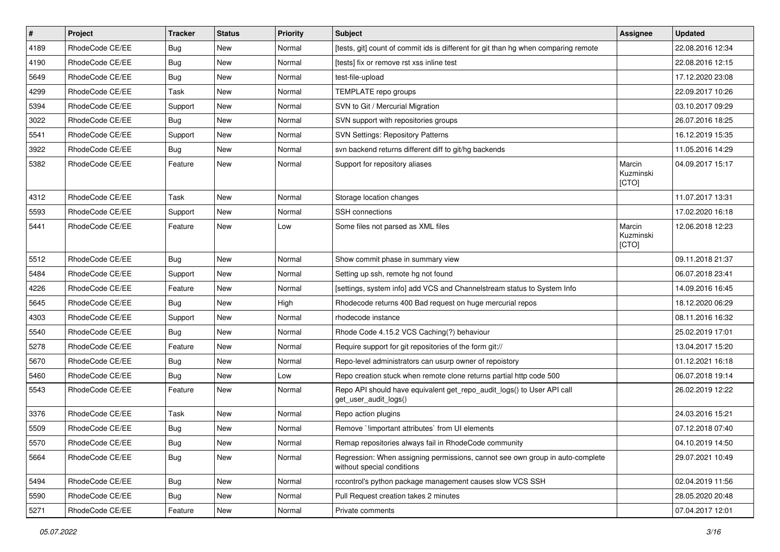| $\pmb{\#}$ | Project         | <b>Tracker</b> | <b>Status</b> | <b>Priority</b> | Subject                                                                                                     | Assignee                     | <b>Updated</b>   |
|------------|-----------------|----------------|---------------|-----------------|-------------------------------------------------------------------------------------------------------------|------------------------------|------------------|
| 4189       | RhodeCode CE/EE | Bug            | New           | Normal          | [tests, git] count of commit ids is different for git than hg when comparing remote                         |                              | 22.08.2016 12:34 |
| 4190       | RhodeCode CE/EE | Bug            | New           | Normal          | [tests] fix or remove rst xss inline test                                                                   |                              | 22.08.2016 12:15 |
| 5649       | RhodeCode CE/EE | Bug            | New           | Normal          | test-file-upload                                                                                            |                              | 17.12.2020 23:08 |
| 4299       | RhodeCode CE/EE | Task           | New           | Normal          | TEMPLATE repo groups                                                                                        |                              | 22.09.2017 10:26 |
| 5394       | RhodeCode CE/EE | Support        | <b>New</b>    | Normal          | SVN to Git / Mercurial Migration                                                                            |                              | 03.10.2017 09:29 |
| 3022       | RhodeCode CE/EE | Bug            | New           | Normal          | SVN support with repositories groups                                                                        |                              | 26.07.2016 18:25 |
| 5541       | RhodeCode CE/EE | Support        | <b>New</b>    | Normal          | <b>SVN Settings: Repository Patterns</b>                                                                    |                              | 16.12.2019 15:35 |
| 3922       | RhodeCode CE/EE | Bug            | New           | Normal          | svn backend returns different diff to git/hg backends                                                       |                              | 11.05.2016 14:29 |
| 5382       | RhodeCode CE/EE | Feature        | <b>New</b>    | Normal          | Support for repository aliases                                                                              | Marcin<br>Kuzminski<br>[CTO] | 04.09.2017 15:17 |
| 4312       | RhodeCode CE/EE | Task           | <b>New</b>    | Normal          | Storage location changes                                                                                    |                              | 11.07.2017 13:31 |
| 5593       | RhodeCode CE/EE | Support        | <b>New</b>    | Normal          | <b>SSH</b> connections                                                                                      |                              | 17.02.2020 16:18 |
| 5441       | RhodeCode CE/EE | Feature        | New           | Low             | Some files not parsed as XML files                                                                          | Marcin<br>Kuzminski<br>[CTO] | 12.06.2018 12:23 |
| 5512       | RhodeCode CE/EE | Bug            | <b>New</b>    | Normal          | Show commit phase in summary view                                                                           |                              | 09.11.2018 21:37 |
| 5484       | RhodeCode CE/EE | Support        | New           | Normal          | Setting up ssh, remote hg not found                                                                         |                              | 06.07.2018 23:41 |
| 4226       | RhodeCode CE/EE | Feature        | New           | Normal          | [settings, system info] add VCS and Channelstream status to System Info                                     |                              | 14.09.2016 16:45 |
| 5645       | RhodeCode CE/EE | Bug            | New           | High            | Rhodecode returns 400 Bad request on huge mercurial repos                                                   |                              | 18.12.2020 06:29 |
| 4303       | RhodeCode CE/EE | Support        | <b>New</b>    | Normal          | rhodecode instance                                                                                          |                              | 08.11.2016 16:32 |
| 5540       | RhodeCode CE/EE | <b>Bug</b>     | New           | Normal          | Rhode Code 4.15.2 VCS Caching(?) behaviour                                                                  |                              | 25.02.2019 17:01 |
| 5278       | RhodeCode CE/EE | Feature        | <b>New</b>    | Normal          | Require support for git repositories of the form git://                                                     |                              | 13.04.2017 15:20 |
| 5670       | RhodeCode CE/EE | Bug            | New           | Normal          | Repo-level administrators can usurp owner of repoistory                                                     |                              | 01.12.2021 16:18 |
| 5460       | RhodeCode CE/EE | <b>Bug</b>     | <b>New</b>    | Low             | Repo creation stuck when remote clone returns partial http code 500                                         |                              | 06.07.2018 19:14 |
| 5543       | RhodeCode CE/EE | Feature        | <b>New</b>    | Normal          | Repo API should have equivalent get_repo_audit_logs() to User API call<br>get user audit logs()             |                              | 26.02.2019 12:22 |
| 3376       | RhodeCode CE/EE | Task           | New           | Normal          | Repo action plugins                                                                                         |                              | 24.03.2016 15:21 |
| 5509       | RhodeCode CE/EE | Bug            | <b>New</b>    | Normal          | Remove `limportant attributes` from UI elements                                                             |                              | 07.12.2018 07:40 |
| 5570       | RhodeCode CE/EE | Bug            | New           | Normal          | Remap repositories always fail in RhodeCode community                                                       |                              | 04.10.2019 14:50 |
| 5664       | RhodeCode CE/EE | <b>Bug</b>     | <b>New</b>    | Normal          | Regression: When assigning permissions, cannot see own group in auto-complete<br>without special conditions |                              | 29.07.2021 10:49 |
| 5494       | RhodeCode CE/EE | Bug            | New           | Normal          | rccontrol's python package management causes slow VCS SSH                                                   |                              | 02.04.2019 11:56 |
| 5590       | RhodeCode CE/EE | Bug            | <b>New</b>    | Normal          | Pull Request creation takes 2 minutes                                                                       |                              | 28.05.2020 20:48 |
| 5271       | RhodeCode CE/EE | Feature        | New           | Normal          | Private comments                                                                                            |                              | 07.04.2017 12:01 |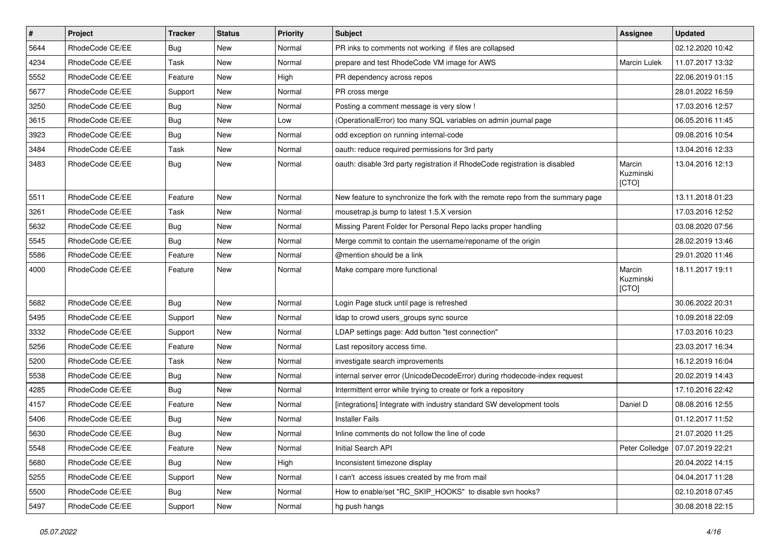| $\pmb{\#}$ | Project         | <b>Tracker</b> | <b>Status</b> | <b>Priority</b> | <b>Subject</b>                                                                 | <b>Assignee</b>              | <b>Updated</b>   |
|------------|-----------------|----------------|---------------|-----------------|--------------------------------------------------------------------------------|------------------------------|------------------|
| 5644       | RhodeCode CE/EE | Bug            | New           | Normal          | PR inks to comments not working if files are collapsed                         |                              | 02.12.2020 10:42 |
| 4234       | RhodeCode CE/EE | Task           | <b>New</b>    | Normal          | prepare and test RhodeCode VM image for AWS                                    | <b>Marcin Lulek</b>          | 11.07.2017 13:32 |
| 5552       | RhodeCode CE/EE | Feature        | New           | High            | PR dependency across repos                                                     |                              | 22.06.2019 01:15 |
| 5677       | RhodeCode CE/EE | Support        | New           | Normal          | PR cross merge                                                                 |                              | 28.01.2022 16:59 |
| 3250       | RhodeCode CE/EE | Bug            | <b>New</b>    | Normal          | Posting a comment message is very slow !                                       |                              | 17.03.2016 12:57 |
| 3615       | RhodeCode CE/EE | Bug            | New           | Low             | (OperationalError) too many SQL variables on admin journal page                |                              | 06.05.2016 11:45 |
| 3923       | RhodeCode CE/EE | Bug            | New           | Normal          | odd exception on running internal-code                                         |                              | 09.08.2016 10:54 |
| 3484       | RhodeCode CE/EE | Task           | New           | Normal          | oauth: reduce required permissions for 3rd party                               |                              | 13.04.2016 12:33 |
| 3483       | RhodeCode CE/EE | Bug            | <b>New</b>    | Normal          | oauth: disable 3rd party registration if RhodeCode registration is disabled    | Marcin<br>Kuzminski<br>[CTO] | 13.04.2016 12:13 |
| 5511       | RhodeCode CE/EE | Feature        | <b>New</b>    | Normal          | New feature to synchronize the fork with the remote repo from the summary page |                              | 13.11.2018 01:23 |
| 3261       | RhodeCode CE/EE | <b>Task</b>    | <b>New</b>    | Normal          | mousetrap.js bump to latest 1.5.X version                                      |                              | 17.03.2016 12:52 |
| 5632       | RhodeCode CE/EE | Bug            | New           | Normal          | Missing Parent Folder for Personal Repo lacks proper handling                  |                              | 03.08.2020 07:56 |
| 5545       | RhodeCode CE/EE | Bug            | New           | Normal          | Merge commit to contain the username/reponame of the origin                    |                              | 28.02.2019 13:46 |
| 5586       | RhodeCode CE/EE | Feature        | <b>New</b>    | Normal          | @mention should be a link                                                      |                              | 29.01.2020 11:46 |
| 4000       | RhodeCode CE/EE | Feature        | New           | Normal          | Make compare more functional                                                   | Marcin<br>Kuzminski<br>[CTO] | 18.11.2017 19:11 |
| 5682       | RhodeCode CE/EE | <b>Bug</b>     | <b>New</b>    | Normal          | Login Page stuck until page is refreshed                                       |                              | 30.06.2022 20:31 |
| 5495       | RhodeCode CE/EE | Support        | New           | Normal          | Idap to crowd users_groups sync source                                         |                              | 10.09.2018 22:09 |
| 3332       | RhodeCode CE/EE | Support        | New           | Normal          | LDAP settings page: Add button "test connection"                               |                              | 17.03.2016 10:23 |
| 5256       | RhodeCode CE/EE | Feature        | New           | Normal          | Last repository access time.                                                   |                              | 23.03.2017 16:34 |
| 5200       | RhodeCode CE/EE | <b>Task</b>    | New           | Normal          | investigate search improvements                                                |                              | 16.12.2019 16:04 |
| 5538       | RhodeCode CE/EE | Bug            | New           | Normal          | internal server error (UnicodeDecodeError) during rhodecode-index request      |                              | 20.02.2019 14:43 |
| 4285       | RhodeCode CE/EE | Bug            | <b>New</b>    | Normal          | Intermittent error while trying to create or fork a repository                 |                              | 17.10.2016 22:42 |
| 4157       | RhodeCode CE/EE | Feature        | New           | Normal          | [integrations] Integrate with industry standard SW development tools           | Daniel D                     | 08.08.2016 12:55 |
| 5406       | RhodeCode CE/EE | Bug            | New           | Normal          | <b>Installer Fails</b>                                                         |                              | 01.12.2017 11:52 |
| 5630       | RhodeCode CE/EE | Bug            | <b>New</b>    | Normal          | Inline comments do not follow the line of code                                 |                              | 21.07.2020 11:25 |
| 5548       | RhodeCode CE/EE | Feature        | New           | Normal          | Initial Search API                                                             | Peter Colledge               | 07.07.2019 22:21 |
| 5680       | RhodeCode CE/EE | Bug            | New           | High            | Inconsistent timezone display                                                  |                              | 20.04.2022 14:15 |
| 5255       | RhodeCode CE/EE | Support        | New           | Normal          | I can't access issues created by me from mail                                  |                              | 04.04.2017 11:28 |
| 5500       | RhodeCode CE/EE | Bug            | New           | Normal          | How to enable/set "RC_SKIP_HOOKS" to disable svn hooks?                        |                              | 02.10.2018 07:45 |
| 5497       | RhodeCode CE/EE | Support        | New           | Normal          | hg push hangs                                                                  |                              | 30.08.2018 22:15 |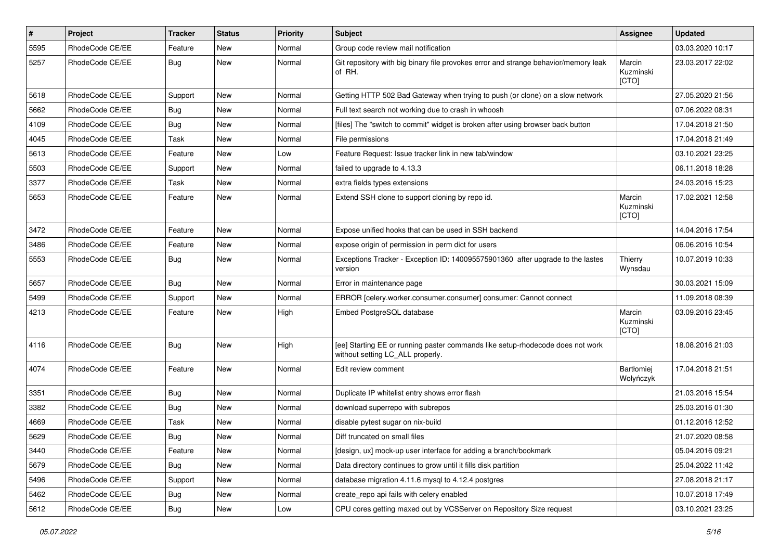| #    | Project         | <b>Tracker</b> | <b>Status</b> | <b>Priority</b> | Subject                                                                                                            | <b>Assignee</b>              | <b>Updated</b>   |
|------|-----------------|----------------|---------------|-----------------|--------------------------------------------------------------------------------------------------------------------|------------------------------|------------------|
| 5595 | RhodeCode CE/EE | Feature        | New           | Normal          | Group code review mail notification                                                                                |                              | 03.03.2020 10:17 |
| 5257 | RhodeCode CE/EE | Bug            | <b>New</b>    | Normal          | Git repository with big binary file provokes error and strange behavior/memory leak<br>of RH.                      | Marcin<br>Kuzminski<br>[CTO] | 23.03.2017 22:02 |
| 5618 | RhodeCode CE/EE | Support        | <b>New</b>    | Normal          | Getting HTTP 502 Bad Gateway when trying to push (or clone) on a slow network                                      |                              | 27.05.2020 21:56 |
| 5662 | RhodeCode CE/EE | Bug            | New           | Normal          | Full text search not working due to crash in whoosh                                                                |                              | 07.06.2022 08:31 |
| 4109 | RhodeCode CE/EE | Bug            | New           | Normal          | [files] The "switch to commit" widget is broken after using browser back button                                    |                              | 17.04.2018 21:50 |
| 4045 | RhodeCode CE/EE | Task           | <b>New</b>    | Normal          | File permissions                                                                                                   |                              | 17.04.2018 21:49 |
| 5613 | RhodeCode CE/EE | Feature        | <b>New</b>    | Low             | Feature Request: Issue tracker link in new tab/window                                                              |                              | 03.10.2021 23:25 |
| 5503 | RhodeCode CE/EE | Support        | <b>New</b>    | Normal          | failed to upgrade to 4.13.3                                                                                        |                              | 06.11.2018 18:28 |
| 3377 | RhodeCode CE/EE | Task           | New           | Normal          | extra fields types extensions                                                                                      |                              | 24.03.2016 15:23 |
| 5653 | RhodeCode CE/EE | Feature        | <b>New</b>    | Normal          | Extend SSH clone to support cloning by repo id.                                                                    | Marcin<br>Kuzminski<br>[CTO] | 17.02.2021 12:58 |
| 3472 | RhodeCode CE/EE | Feature        | <b>New</b>    | Normal          | Expose unified hooks that can be used in SSH backend                                                               |                              | 14.04.2016 17:54 |
| 3486 | RhodeCode CE/EE | Feature        | <b>New</b>    | Normal          | expose origin of permission in perm dict for users                                                                 |                              | 06.06.2016 10:54 |
| 5553 | RhodeCode CE/EE | Bug            | New           | Normal          | Exceptions Tracker - Exception ID: 140095575901360 after upgrade to the lastes<br>version                          | Thierry<br>Wynsdau           | 10.07.2019 10:33 |
| 5657 | RhodeCode CE/EE | <b>Bug</b>     | <b>New</b>    | Normal          | Error in maintenance page                                                                                          |                              | 30.03.2021 15:09 |
| 5499 | RhodeCode CE/EE | Support        | <b>New</b>    | Normal          | ERROR [celery.worker.consumer.consumer] consumer: Cannot connect                                                   |                              | 11.09.2018 08:39 |
| 4213 | RhodeCode CE/EE | Feature        | <b>New</b>    | High            | Embed PostgreSQL database                                                                                          | Marcin<br>Kuzminski<br>[CTO] | 03.09.2016 23:45 |
| 4116 | RhodeCode CE/EE | Bug            | <b>New</b>    | High            | [ee] Starting EE or running paster commands like setup-rhodecode does not work<br>without setting LC ALL properly. |                              | 18.08.2016 21:03 |
| 4074 | RhodeCode CE/EE | Feature        | <b>New</b>    | Normal          | Edit review comment                                                                                                | Bartłomiej<br>Wołyńczyk      | 17.04.2018 21:51 |
| 3351 | RhodeCode CE/EE | Bug            | <b>New</b>    | Normal          | Duplicate IP whitelist entry shows error flash                                                                     |                              | 21.03.2016 15:54 |
| 3382 | RhodeCode CE/EE | Bug            | New           | Normal          | download superrepo with subrepos                                                                                   |                              | 25.03.2016 01:30 |
| 4669 | RhodeCode CE/EE | Task           | New           | Normal          | disable pytest sugar on nix-build                                                                                  |                              | 01.12.2016 12:52 |
| 5629 | RhodeCode CE/EE | Bug            | New           | Normal          | Diff truncated on small files                                                                                      |                              | 21.07.2020 08:58 |
| 3440 | RhodeCode CE/EE | Feature        | <b>New</b>    | Normal          | [design, ux] mock-up user interface for adding a branch/bookmark                                                   |                              | 05.04.2016 09:21 |
| 5679 | RhodeCode CE/EE | <b>Bug</b>     | New           | Normal          | Data directory continues to grow until it fills disk partition                                                     |                              | 25.04.2022 11:42 |
| 5496 | RhodeCode CE/EE | Support        | New           | Normal          | database migration 4.11.6 mysql to 4.12.4 postgres                                                                 |                              | 27.08.2018 21:17 |
| 5462 | RhodeCode CE/EE | <b>Bug</b>     | New           | Normal          | create_repo api fails with celery enabled                                                                          |                              | 10.07.2018 17:49 |
| 5612 | RhodeCode CE/EE | <b>Bug</b>     | New           | Low             | CPU cores getting maxed out by VCSServer on Repository Size request                                                |                              | 03.10.2021 23:25 |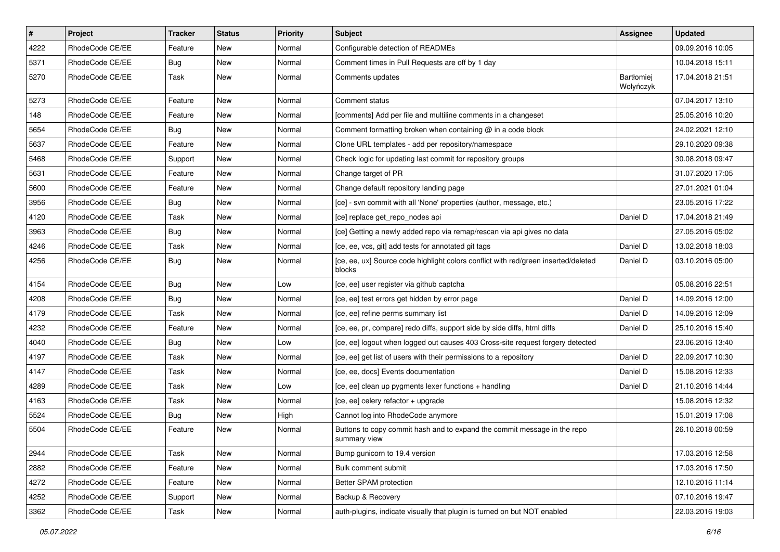| $\vert$ # | Project         | Tracker    | <b>Status</b> | <b>Priority</b> | <b>Subject</b>                                                                               | Assignee                | <b>Updated</b>   |
|-----------|-----------------|------------|---------------|-----------------|----------------------------------------------------------------------------------------------|-------------------------|------------------|
| 4222      | RhodeCode CE/EE | Feature    | New           | Normal          | Configurable detection of READMEs                                                            |                         | 09.09.2016 10:05 |
| 5371      | RhodeCode CE/EE | Bug        | New           | Normal          | Comment times in Pull Requests are off by 1 day                                              |                         | 10.04.2018 15:11 |
| 5270      | RhodeCode CE/EE | Task       | New           | Normal          | Comments updates                                                                             | Bartłomiej<br>Wołyńczyk | 17.04.2018 21:51 |
| 5273      | RhodeCode CE/EE | Feature    | New           | Normal          | Comment status                                                                               |                         | 07.04.2017 13:10 |
| 148       | RhodeCode CE/EE | Feature    | New           | Normal          | [comments] Add per file and multiline comments in a changeset                                |                         | 25.05.2016 10:20 |
| 5654      | RhodeCode CE/EE | Bug        | New           | Normal          | Comment formatting broken when containing $\omega$ in a code block                           |                         | 24.02.2021 12:10 |
| 5637      | RhodeCode CE/EE | Feature    | New           | Normal          | Clone URL templates - add per repository/namespace                                           |                         | 29.10.2020 09:38 |
| 5468      | RhodeCode CE/EE | Support    | New           | Normal          | Check logic for updating last commit for repository groups                                   |                         | 30.08.2018 09:47 |
| 5631      | RhodeCode CE/EE | Feature    | New           | Normal          | Change target of PR                                                                          |                         | 31.07.2020 17:05 |
| 5600      | RhodeCode CE/EE | Feature    | New           | Normal          | Change default repository landing page                                                       |                         | 27.01.2021 01:04 |
| 3956      | RhodeCode CE/EE | <b>Bug</b> | New           | Normal          | [ce] - svn commit with all 'None' properties (author, message, etc.)                         |                         | 23.05.2016 17:22 |
| 4120      | RhodeCode CE/EE | Task       | New           | Normal          | [ce] replace get_repo_nodes api                                                              | Daniel D                | 17.04.2018 21:49 |
| 3963      | RhodeCode CE/EE | <b>Bug</b> | New           | Normal          | [ce] Getting a newly added repo via remap/rescan via api gives no data                       |                         | 27.05.2016 05:02 |
| 4246      | RhodeCode CE/EE | Task       | New           | Normal          | [ce, ee, vcs, git] add tests for annotated git tags                                          | Daniel D                | 13.02.2018 18:03 |
| 4256      | RhodeCode CE/EE | Bug        | New           | Normal          | [ce, ee, ux] Source code highlight colors conflict with red/green inserted/deleted<br>blocks | Daniel D                | 03.10.2016 05:00 |
| 4154      | RhodeCode CE/EE | Bug        | New           | Low             | [ce, ee] user register via github captcha                                                    |                         | 05.08.2016 22:51 |
| 4208      | RhodeCode CE/EE | <b>Bug</b> | New           | Normal          | [ce, ee] test errors get hidden by error page                                                | Daniel D                | 14.09.2016 12:00 |
| 4179      | RhodeCode CE/EE | Task       | New           | Normal          | [ce, ee] refine perms summary list                                                           | Daniel D                | 14.09.2016 12:09 |
| 4232      | RhodeCode CE/EE | Feature    | New           | Normal          | [ce, ee, pr, compare] redo diffs, support side by side diffs, html diffs                     | Daniel D                | 25.10.2016 15:40 |
| 4040      | RhodeCode CE/EE | Bug        | New           | Low             | [ce, ee] logout when logged out causes 403 Cross-site request forgery detected               |                         | 23.06.2016 13:40 |
| 4197      | RhodeCode CE/EE | Task       | New           | Normal          | [ce, ee] get list of users with their permissions to a repository                            | Daniel D                | 22.09.2017 10:30 |
| 4147      | RhodeCode CE/EE | Task       | New           | Normal          | [ce, ee, docs] Events documentation                                                          | Daniel D                | 15.08.2016 12:33 |
| 4289      | RhodeCode CE/EE | Task       | New           | Low             | [ce, ee] clean up pygments lexer functions + handling                                        | Daniel D                | 21.10.2016 14:44 |
| 4163      | RhodeCode CE/EE | Task       | New           | Normal          | [ce, ee] celery refactor + upgrade                                                           |                         | 15.08.2016 12:32 |
| 5524      | RhodeCode CE/EE | <b>Bug</b> | New           | High            | Cannot log into RhodeCode anymore                                                            |                         | 15.01.2019 17:08 |
| 5504      | RhodeCode CE/EE | Feature    | New           | Normal          | Buttons to copy commit hash and to expand the commit message in the repo<br>summary view     |                         | 26.10.2018 00:59 |
| 2944      | RhodeCode CE/EE | Task       | New           | Normal          | Bump gunicorn to 19.4 version                                                                |                         | 17.03.2016 12:58 |
| 2882      | RhodeCode CE/EE | Feature    | New           | Normal          | Bulk comment submit                                                                          |                         | 17.03.2016 17:50 |
| 4272      | RhodeCode CE/EE | Feature    | New           | Normal          | Better SPAM protection                                                                       |                         | 12.10.2016 11:14 |
| 4252      | RhodeCode CE/EE | Support    | New           | Normal          | Backup & Recovery                                                                            |                         | 07.10.2016 19:47 |
| 3362      | RhodeCode CE/EE | Task       | New           | Normal          | auth-plugins, indicate visually that plugin is turned on but NOT enabled                     |                         | 22.03.2016 19:03 |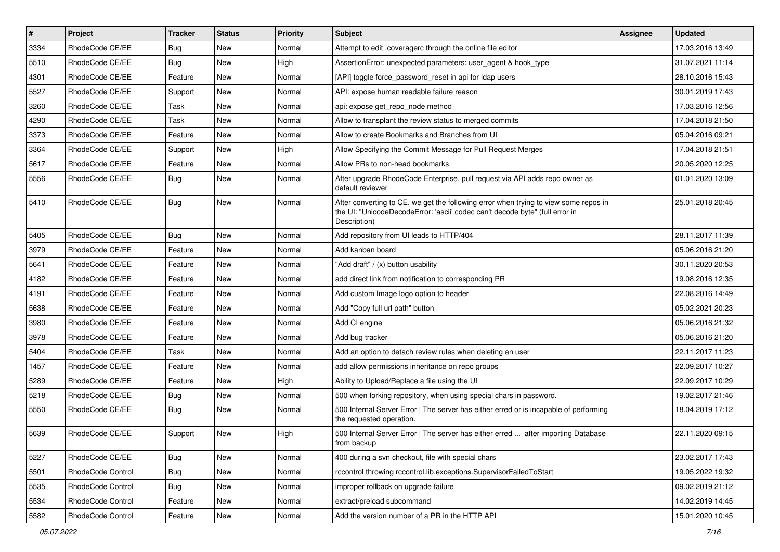| $\sharp$ | Project           | <b>Tracker</b> | <b>Status</b> | Priority | Subject                                                                                                                                                                              | <b>Assignee</b> | <b>Updated</b>   |
|----------|-------------------|----------------|---------------|----------|--------------------------------------------------------------------------------------------------------------------------------------------------------------------------------------|-----------------|------------------|
| 3334     | RhodeCode CE/EE   | <b>Bug</b>     | New           | Normal   | Attempt to edit .coveragerc through the online file editor                                                                                                                           |                 | 17.03.2016 13:49 |
| 5510     | RhodeCode CE/EE   | Bug            | <b>New</b>    | High     | AssertionError: unexpected parameters: user_agent & hook_type                                                                                                                        |                 | 31.07.2021 11:14 |
| 4301     | RhodeCode CE/EE   | Feature        | New           | Normal   | [API] toggle force password reset in api for Idap users                                                                                                                              |                 | 28.10.2016 15:43 |
| 5527     | RhodeCode CE/EE   | Support        | <b>New</b>    | Normal   | API: expose human readable failure reason                                                                                                                                            |                 | 30.01.2019 17:43 |
| 3260     | RhodeCode CE/EE   | Task           | <b>New</b>    | Normal   | api: expose get repo node method                                                                                                                                                     |                 | 17.03.2016 12:56 |
| 4290     | RhodeCode CE/EE   | Task           | <b>New</b>    | Normal   | Allow to transplant the review status to merged commits                                                                                                                              |                 | 17.04.2018 21:50 |
| 3373     | RhodeCode CE/EE   | Feature        | New           | Normal   | Allow to create Bookmarks and Branches from UI                                                                                                                                       |                 | 05.04.2016 09:21 |
| 3364     | RhodeCode CE/EE   | Support        | <b>New</b>    | High     | Allow Specifying the Commit Message for Pull Request Merges                                                                                                                          |                 | 17.04.2018 21:51 |
| 5617     | RhodeCode CE/EE   | Feature        | <b>New</b>    | Normal   | Allow PRs to non-head bookmarks                                                                                                                                                      |                 | 20.05.2020 12:25 |
| 5556     | RhodeCode CE/EE   | Bug            | <b>New</b>    | Normal   | After upgrade RhodeCode Enterprise, pull request via API adds repo owner as<br>default reviewer                                                                                      |                 | 01.01.2020 13:09 |
| 5410     | RhodeCode CE/EE   | Bug            | New           | Normal   | After converting to CE, we get the following error when trying to view some repos in<br>the UI: "UnicodeDecodeError: 'ascii' codec can't decode byte" (full error in<br>Description) |                 | 25.01.2018 20:45 |
| 5405     | RhodeCode CE/EE   | Bug            | <b>New</b>    | Normal   | Add repository from UI leads to HTTP/404                                                                                                                                             |                 | 28.11.2017 11:39 |
| 3979     | RhodeCode CE/EE   | Feature        | <b>New</b>    | Normal   | Add kanban board                                                                                                                                                                     |                 | 05.06.2016 21:20 |
| 5641     | RhodeCode CE/EE   | Feature        | New           | Normal   | "Add draft" / (x) button usability                                                                                                                                                   |                 | 30.11.2020 20:53 |
| 4182     | RhodeCode CE/EE   | Feature        | <b>New</b>    | Normal   | add direct link from notification to corresponding PR                                                                                                                                |                 | 19.08.2016 12:35 |
| 4191     | RhodeCode CE/EE   | Feature        | New           | Normal   | Add custom Image logo option to header                                                                                                                                               |                 | 22.08.2016 14:49 |
| 5638     | RhodeCode CE/EE   | Feature        | <b>New</b>    | Normal   | Add "Copy full url path" button                                                                                                                                                      |                 | 05.02.2021 20:23 |
| 3980     | RhodeCode CE/EE   | Feature        | <b>New</b>    | Normal   | Add CI engine                                                                                                                                                                        |                 | 05.06.2016 21:32 |
| 3978     | RhodeCode CE/EE   | Feature        | New           | Normal   | Add bug tracker                                                                                                                                                                      |                 | 05.06.2016 21:20 |
| 5404     | RhodeCode CE/EE   | Task           | <b>New</b>    | Normal   | Add an option to detach review rules when deleting an user                                                                                                                           |                 | 22.11.2017 11:23 |
| 1457     | RhodeCode CE/EE   | Feature        | New           | Normal   | add allow permissions inheritance on repo groups                                                                                                                                     |                 | 22.09.2017 10:27 |
| 5289     | RhodeCode CE/EE   | Feature        | <b>New</b>    | High     | Ability to Upload/Replace a file using the UI                                                                                                                                        |                 | 22.09.2017 10:29 |
| 5218     | RhodeCode CE/EE   | Bug            | <b>New</b>    | Normal   | 500 when forking repository, when using special chars in password.                                                                                                                   |                 | 19.02.2017 21:46 |
| 5550     | RhodeCode CE/EE   | Bug            | <b>New</b>    | Normal   | 500 Internal Server Error   The server has either erred or is incapable of performing<br>the requested operation.                                                                    |                 | 18.04.2019 17:12 |
| 5639     | RhodeCode CE/EE   | Support        | <b>New</b>    | High     | 500 Internal Server Error   The server has either erred  after importing Database<br>from backup                                                                                     |                 | 22.11.2020 09:15 |
| 5227     | RhodeCode CE/EE   | <b>Bug</b>     | <b>New</b>    | Normal   | 400 during a svn checkout, file with special chars                                                                                                                                   |                 | 23.02.2017 17:43 |
| 5501     | RhodeCode Control | Bug            | New           | Normal   | rccontrol throwing rccontrol.lib.exceptions.SupervisorFailedToStart                                                                                                                  |                 | 19.05.2022 19:32 |
| 5535     | RhodeCode Control | Bug            | New           | Normal   | improper rollback on upgrade failure                                                                                                                                                 |                 | 09.02.2019 21:12 |
| 5534     | RhodeCode Control | Feature        | New           | Normal   | extract/preload subcommand                                                                                                                                                           |                 | 14.02.2019 14:45 |
| 5582     | RhodeCode Control | Feature        | New           | Normal   | Add the version number of a PR in the HTTP API                                                                                                                                       |                 | 15.01.2020 10:45 |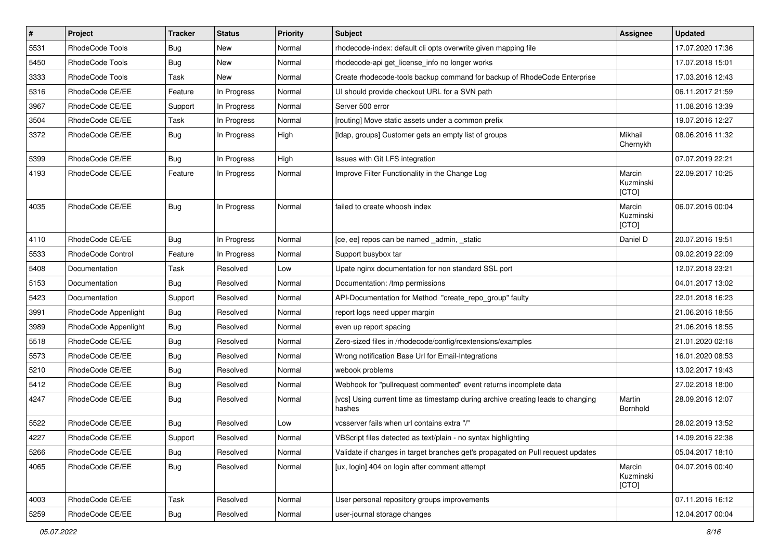| $\sharp$ | Project              | <b>Tracker</b> | <b>Status</b> | Priority | Subject                                                                                   | <b>Assignee</b>              | <b>Updated</b>   |
|----------|----------------------|----------------|---------------|----------|-------------------------------------------------------------------------------------------|------------------------------|------------------|
| 5531     | RhodeCode Tools      | Bug            | New           | Normal   | rhodecode-index: default cli opts overwrite given mapping file                            |                              | 17.07.2020 17:36 |
| 5450     | RhodeCode Tools      | Bug            | New           | Normal   | rhodecode-api get_license_info no longer works                                            |                              | 17.07.2018 15:01 |
| 3333     | RhodeCode Tools      | Task           | New           | Normal   | Create rhodecode-tools backup command for backup of RhodeCode Enterprise                  |                              | 17.03.2016 12:43 |
| 5316     | RhodeCode CE/EE      | Feature        | In Progress   | Normal   | UI should provide checkout URL for a SVN path                                             |                              | 06.11.2017 21:59 |
| 3967     | RhodeCode CE/EE      | Support        | In Progress   | Normal   | Server 500 error                                                                          |                              | 11.08.2016 13:39 |
| 3504     | RhodeCode CE/EE      | Task           | In Progress   | Normal   | [routing] Move static assets under a common prefix                                        |                              | 19.07.2016 12:27 |
| 3372     | RhodeCode CE/EE      | Bug            | In Progress   | High     | [Idap, groups] Customer gets an empty list of groups                                      | Mikhail<br>Chernykh          | 08.06.2016 11:32 |
| 5399     | RhodeCode CE/EE      | Bug            | In Progress   | High     | Issues with Git LFS integration                                                           |                              | 07.07.2019 22:21 |
| 4193     | RhodeCode CE/EE      | Feature        | In Progress   | Normal   | Improve Filter Functionality in the Change Log                                            | Marcin<br>Kuzminski<br>[CTO] | 22.09.2017 10:25 |
| 4035     | RhodeCode CE/EE      | Bug            | In Progress   | Normal   | failed to create whoosh index                                                             | Marcin<br>Kuzminski<br>[CTO] | 06.07.2016 00:04 |
| 4110     | RhodeCode CE/EE      | Bug            | In Progress   | Normal   | [ce, ee] repos can be named _admin, _static                                               | Daniel D                     | 20.07.2016 19:51 |
| 5533     | RhodeCode Control    | Feature        | In Progress   | Normal   | Support busybox tar                                                                       |                              | 09.02.2019 22:09 |
| 5408     | Documentation        | Task           | Resolved      | Low      | Upate nginx documentation for non standard SSL port                                       |                              | 12.07.2018 23:21 |
| 5153     | Documentation        | Bug            | Resolved      | Normal   | Documentation: /tmp permissions                                                           |                              | 04.01.2017 13:02 |
| 5423     | Documentation        | Support        | Resolved      | Normal   | API-Documentation for Method "create_repo_group" faulty                                   |                              | 22.01.2018 16:23 |
| 3991     | RhodeCode Appenlight | Bug            | Resolved      | Normal   | report logs need upper margin                                                             |                              | 21.06.2016 18:55 |
| 3989     | RhodeCode Appenlight | Bug            | Resolved      | Normal   | even up report spacing                                                                    |                              | 21.06.2016 18:55 |
| 5518     | RhodeCode CE/EE      | Bug            | Resolved      | Normal   | Zero-sized files in /rhodecode/config/rcextensions/examples                               |                              | 21.01.2020 02:18 |
| 5573     | RhodeCode CE/EE      | Bug            | Resolved      | Normal   | Wrong notification Base Url for Email-Integrations                                        |                              | 16.01.2020 08:53 |
| 5210     | RhodeCode CE/EE      | Bug            | Resolved      | Normal   | webook problems                                                                           |                              | 13.02.2017 19:43 |
| 5412     | RhodeCode CE/EE      | Bug            | Resolved      | Normal   | Webhook for "pullrequest commented" event returns incomplete data                         |                              | 27.02.2018 18:00 |
| 4247     | RhodeCode CE/EE      | Bug            | Resolved      | Normal   | [vcs] Using current time as timestamp during archive creating leads to changing<br>hashes | Martin<br>Bornhold           | 28.09.2016 12:07 |
| 5522     | RhodeCode CE/EE      | Bug            | Resolved      | Low      | vcsserver fails when url contains extra "/"                                               |                              | 28.02.2019 13:52 |
| 4227     | RhodeCode CE/EE      | Support        | Resolved      | Normal   | VBScript files detected as text/plain - no syntax highlighting                            |                              | 14.09.2016 22:38 |
| 5266     | RhodeCode CE/EE      | Bug            | Resolved      | Normal   | Validate if changes in target branches get's propagated on Pull request updates           |                              | 05.04.2017 18:10 |
| 4065     | RhodeCode CE/EE      | <b>Bug</b>     | Resolved      | Normal   | [ux, login] 404 on login after comment attempt                                            | Marcin<br>Kuzminski<br>[CTO] | 04.07.2016 00:40 |
| 4003     | RhodeCode CE/EE      | Task           | Resolved      | Normal   | User personal repository groups improvements                                              |                              | 07.11.2016 16:12 |
| 5259     | RhodeCode CE/EE      | <b>Bug</b>     | Resolved      | Normal   | user-journal storage changes                                                              |                              | 12.04.2017 00:04 |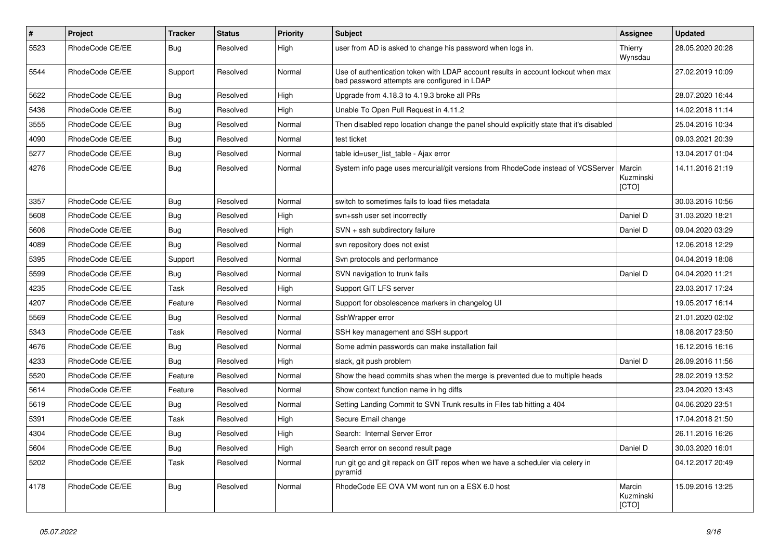| $\pmb{\#}$ | Project         | <b>Tracker</b> | <b>Status</b> | <b>Priority</b> | <b>Subject</b>                                                                                                                    | Assignee                     | <b>Updated</b>   |
|------------|-----------------|----------------|---------------|-----------------|-----------------------------------------------------------------------------------------------------------------------------------|------------------------------|------------------|
| 5523       | RhodeCode CE/EE | Bug            | Resolved      | High            | user from AD is asked to change his password when logs in.                                                                        | Thierry<br>Wynsdau           | 28.05.2020 20:28 |
| 5544       | RhodeCode CE/EE | Support        | Resolved      | Normal          | Use of authentication token with LDAP account results in account lockout when max<br>bad password attempts are configured in LDAP |                              | 27.02.2019 10:09 |
| 5622       | RhodeCode CE/EE | Bug            | Resolved      | High            | Upgrade from 4.18.3 to 4.19.3 broke all PRs                                                                                       |                              | 28.07.2020 16:44 |
| 5436       | RhodeCode CE/EE | <b>Bug</b>     | Resolved      | High            | Unable To Open Pull Request in 4.11.2                                                                                             |                              | 14.02.2018 11:14 |
| 3555       | RhodeCode CE/EE | <b>Bug</b>     | Resolved      | Normal          | Then disabled repo location change the panel should explicitly state that it's disabled                                           |                              | 25.04.2016 10:34 |
| 4090       | RhodeCode CE/EE | Bug            | Resolved      | Normal          | test ticket                                                                                                                       |                              | 09.03.2021 20:39 |
| 5277       | RhodeCode CE/EE | <b>Bug</b>     | Resolved      | Normal          | table id=user_list_table - Ajax error                                                                                             |                              | 13.04.2017 01:04 |
| 4276       | RhodeCode CE/EE | <b>Bug</b>     | Resolved      | Normal          | System info page uses mercurial/git versions from RhodeCode instead of VCSServer                                                  | Marcin<br>Kuzminski<br>[CTO] | 14.11.2016 21:19 |
| 3357       | RhodeCode CE/EE | Bug            | Resolved      | Normal          | switch to sometimes fails to load files metadata                                                                                  |                              | 30.03.2016 10:56 |
| 5608       | RhodeCode CE/EE | Bug            | Resolved      | High            | svn+ssh user set incorrectly                                                                                                      | Daniel D                     | 31.03.2020 18:21 |
| 5606       | RhodeCode CE/EE | Bug            | Resolved      | High            | SVN + ssh subdirectory failure                                                                                                    | Daniel D                     | 09.04.2020 03:29 |
| 4089       | RhodeCode CE/EE | Bug            | Resolved      | Normal          | svn repository does not exist                                                                                                     |                              | 12.06.2018 12:29 |
| 5395       | RhodeCode CE/EE | Support        | Resolved      | Normal          | Svn protocols and performance                                                                                                     |                              | 04.04.2019 18:08 |
| 5599       | RhodeCode CE/EE | Bug            | Resolved      | Normal          | SVN navigation to trunk fails                                                                                                     | Daniel D                     | 04.04.2020 11:21 |
| 4235       | RhodeCode CE/EE | Task           | Resolved      | High            | Support GIT LFS server                                                                                                            |                              | 23.03.2017 17:24 |
| 4207       | RhodeCode CE/EE | Feature        | Resolved      | Normal          | Support for obsolescence markers in changelog UI                                                                                  |                              | 19.05.2017 16:14 |
| 5569       | RhodeCode CE/EE | Bug            | Resolved      | Normal          | SshWrapper error                                                                                                                  |                              | 21.01.2020 02:02 |
| 5343       | RhodeCode CE/EE | Task           | Resolved      | Normal          | SSH key management and SSH support                                                                                                |                              | 18.08.2017 23:50 |
| 4676       | RhodeCode CE/EE | Bug            | Resolved      | Normal          | Some admin passwords can make installation fail                                                                                   |                              | 16.12.2016 16:16 |
| 4233       | RhodeCode CE/EE | Bug            | Resolved      | High            | slack, git push problem                                                                                                           | Daniel D                     | 26.09.2016 11:56 |
| 5520       | RhodeCode CE/EE | Feature        | Resolved      | Normal          | Show the head commits shas when the merge is prevented due to multiple heads                                                      |                              | 28.02.2019 13:52 |
| 5614       | RhodeCode CE/EE | Feature        | Resolved      | Normal          | Show context function name in hg diffs                                                                                            |                              | 23.04.2020 13:43 |
| 5619       | RhodeCode CE/EE | Bug            | Resolved      | Normal          | Setting Landing Commit to SVN Trunk results in Files tab hitting a 404                                                            |                              | 04.06.2020 23:51 |
| 5391       | RhodeCode CE/EE | Task           | Resolved      | High            | Secure Email change                                                                                                               |                              | 17.04.2018 21:50 |
| 4304       | RhodeCode CE/EE | Bug            | Resolved      | High            | Search: Internal Server Error                                                                                                     |                              | 26.11.2016 16:26 |
| 5604       | RhodeCode CE/EE | Bug            | Resolved      | High            | Search error on second result page                                                                                                | Daniel D                     | 30.03.2020 16:01 |
| 5202       | RhodeCode CE/EE | Task           | Resolved      | Normal          | run git gc and git repack on GIT repos when we have a scheduler via celery in<br>pyramid                                          |                              | 04.12.2017 20:49 |
| 4178       | RhodeCode CE/EE | <b>Bug</b>     | Resolved      | Normal          | RhodeCode EE OVA VM wont run on a ESX 6.0 host                                                                                    | Marcin<br>Kuzminski<br>[CTO] | 15.09.2016 13:25 |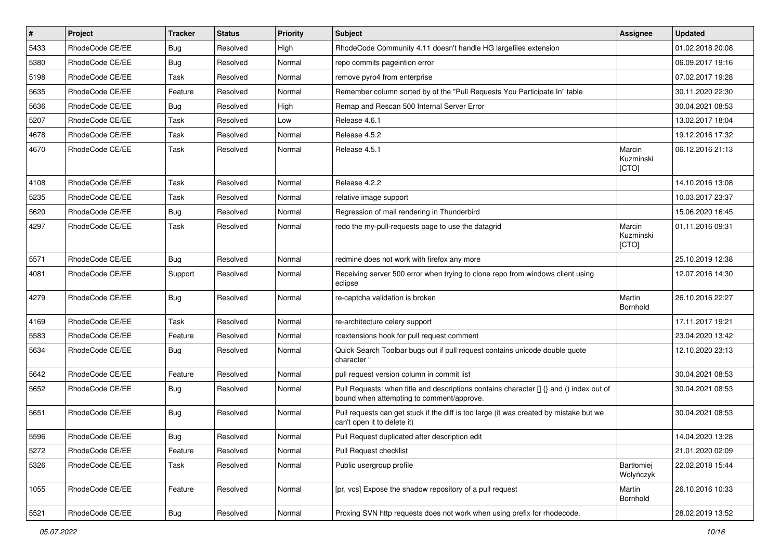| $\sharp$ | Project         | <b>Tracker</b> | <b>Status</b> | <b>Priority</b> | <b>Subject</b>                                                                                                                       | <b>Assignee</b>              | <b>Updated</b>   |
|----------|-----------------|----------------|---------------|-----------------|--------------------------------------------------------------------------------------------------------------------------------------|------------------------------|------------------|
| 5433     | RhodeCode CE/EE | Bug            | Resolved      | High            | RhodeCode Community 4.11 doesn't handle HG largefiles extension                                                                      |                              | 01.02.2018 20:08 |
| 5380     | RhodeCode CE/EE | Bug            | Resolved      | Normal          | repo commits pageintion error                                                                                                        |                              | 06.09.2017 19:16 |
| 5198     | RhodeCode CE/EE | Task           | Resolved      | Normal          | remove pyro4 from enterprise                                                                                                         |                              | 07.02.2017 19:28 |
| 5635     | RhodeCode CE/EE | Feature        | Resolved      | Normal          | Remember column sorted by of the "Pull Requests You Participate In" table                                                            |                              | 30.11.2020 22:30 |
| 5636     | RhodeCode CE/EE | Bug            | Resolved      | High            | Remap and Rescan 500 Internal Server Error                                                                                           |                              | 30.04.2021 08:53 |
| 5207     | RhodeCode CE/EE | Task           | Resolved      | Low             | Release 4.6.1                                                                                                                        |                              | 13.02.2017 18:04 |
| 4678     | RhodeCode CE/EE | Task           | Resolved      | Normal          | Release 4.5.2                                                                                                                        |                              | 19.12.2016 17:32 |
| 4670     | RhodeCode CE/EE | Task           | Resolved      | Normal          | Release 4.5.1                                                                                                                        | Marcin<br>Kuzminski<br>[CTO] | 06.12.2016 21:13 |
| 4108     | RhodeCode CE/EE | Task           | Resolved      | Normal          | Release 4.2.2                                                                                                                        |                              | 14.10.2016 13:08 |
| 5235     | RhodeCode CE/EE | Task           | Resolved      | Normal          | relative image support                                                                                                               |                              | 10.03.2017 23:37 |
| 5620     | RhodeCode CE/EE | Bug            | Resolved      | Normal          | Regression of mail rendering in Thunderbird                                                                                          |                              | 15.06.2020 16:45 |
| 4297     | RhodeCode CE/EE | Task           | Resolved      | Normal          | redo the my-pull-requests page to use the datagrid                                                                                   | Marcin<br>Kuzminski<br>[CTO] | 01.11.2016 09:31 |
| 5571     | RhodeCode CE/EE | Bug            | Resolved      | Normal          | redmine does not work with firefox any more                                                                                          |                              | 25.10.2019 12:38 |
| 4081     | RhodeCode CE/EE | Support        | Resolved      | Normal          | Receiving server 500 error when trying to clone repo from windows client using<br>eclipse                                            |                              | 12.07.2016 14:30 |
| 4279     | RhodeCode CE/EE | Bug            | Resolved      | Normal          | re-captcha validation is broken                                                                                                      | Martin<br>Bornhold           | 26.10.2016 22:27 |
| 4169     | RhodeCode CE/EE | Task           | Resolved      | Normal          | re-architecture celery support                                                                                                       |                              | 17.11.2017 19:21 |
| 5583     | RhodeCode CE/EE | Feature        | Resolved      | Normal          | rcextensions hook for pull request comment                                                                                           |                              | 23.04.2020 13:42 |
| 5634     | RhodeCode CE/EE | Bug            | Resolved      | Normal          | Quick Search Toolbar bugs out if pull request contains unicode double quote<br>character "                                           |                              | 12.10.2020 23:13 |
| 5642     | RhodeCode CE/EE | Feature        | Resolved      | Normal          | pull request version column in commit list                                                                                           |                              | 30.04.2021 08:53 |
| 5652     | RhodeCode CE/EE | Bug            | Resolved      | Normal          | Pull Requests: when title and descriptions contains character [] {} and () index out of<br>bound when attempting to comment/approve. |                              | 30.04.2021 08:53 |
| 5651     | RhodeCode CE/EE | Bug            | Resolved      | Normal          | Pull requests can get stuck if the diff is too large (it was created by mistake but we<br>can't open it to delete it)                |                              | 30.04.2021 08:53 |
| 5596     | RhodeCode CE/EE | Bug            | Resolved      | Normal          | Pull Request duplicated after description edit                                                                                       |                              | 14.04.2020 13:28 |
| 5272     | RhodeCode CE/EE | Feature        | Resolved      | Normal          | Pull Request checklist                                                                                                               |                              | 21.01.2020 02:09 |
| 5326     | RhodeCode CE/EE | Task           | Resolved      | Normal          | Public usergroup profile                                                                                                             | Bartłomiej<br>Wołyńczyk      | 22.02.2018 15:44 |
| 1055     | RhodeCode CE/EE | Feature        | Resolved      | Normal          | [pr, vcs] Expose the shadow repository of a pull request                                                                             | Martin<br>Bornhold           | 26.10.2016 10:33 |
| 5521     | RhodeCode CE/EE | <b>Bug</b>     | Resolved      | Normal          | Proxing SVN http requests does not work when using prefix for rhodecode.                                                             |                              | 28.02.2019 13:52 |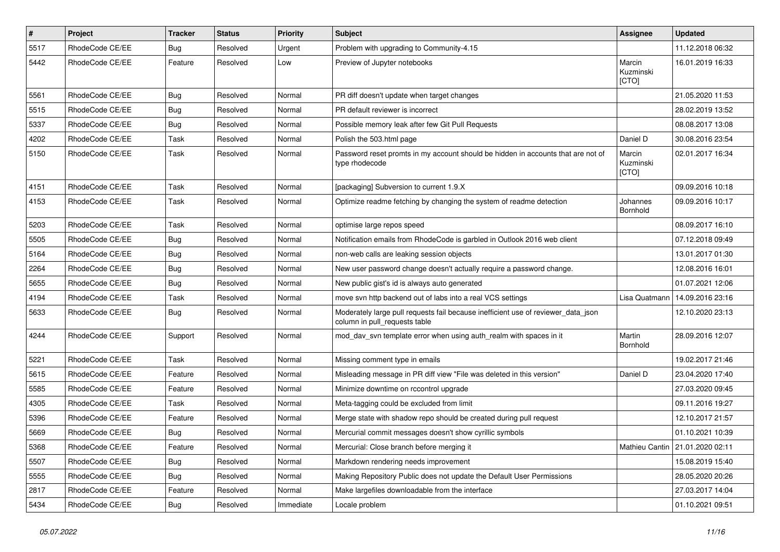| $\pmb{\#}$ | <b>Project</b>  | <b>Tracker</b> | <b>Status</b> | Priority  | Subject                                                                                                            | Assignee                     | <b>Updated</b>                    |
|------------|-----------------|----------------|---------------|-----------|--------------------------------------------------------------------------------------------------------------------|------------------------------|-----------------------------------|
| 5517       | RhodeCode CE/EE | <b>Bug</b>     | Resolved      | Urgent    | Problem with upgrading to Community-4.15                                                                           |                              | 11.12.2018 06:32                  |
| 5442       | RhodeCode CE/EE | Feature        | Resolved      | Low       | Preview of Jupyter notebooks                                                                                       | Marcin<br>Kuzminski<br>[CTO] | 16.01.2019 16:33                  |
| 5561       | RhodeCode CE/EE | Bug            | Resolved      | Normal    | PR diff doesn't update when target changes                                                                         |                              | 21.05.2020 11:53                  |
| 5515       | RhodeCode CE/EE | <b>Bug</b>     | Resolved      | Normal    | PR default reviewer is incorrect                                                                                   |                              | 28.02.2019 13:52                  |
| 5337       | RhodeCode CE/EE | Bug            | Resolved      | Normal    | Possible memory leak after few Git Pull Requests                                                                   |                              | 08.08.2017 13:08                  |
| 4202       | RhodeCode CE/EE | Task           | Resolved      | Normal    | Polish the 503.html page                                                                                           | Daniel D                     | 30.08.2016 23:54                  |
| 5150       | RhodeCode CE/EE | Task           | Resolved      | Normal    | Password reset promts in my account should be hidden in accounts that are not of<br>type rhodecode                 | Marcin<br>Kuzminski<br>[CTO] | 02.01.2017 16:34                  |
| 4151       | RhodeCode CE/EE | Task           | Resolved      | Normal    | [packaging] Subversion to current 1.9.X                                                                            |                              | 09.09.2016 10:18                  |
| 4153       | RhodeCode CE/EE | Task           | Resolved      | Normal    | Optimize readme fetching by changing the system of readme detection                                                | Johannes<br>Bornhold         | 09.09.2016 10:17                  |
| 5203       | RhodeCode CE/EE | Task           | Resolved      | Normal    | optimise large repos speed                                                                                         |                              | 08.09.2017 16:10                  |
| 5505       | RhodeCode CE/EE | Bug            | Resolved      | Normal    | Notification emails from RhodeCode is garbled in Outlook 2016 web client                                           |                              | 07.12.2018 09:49                  |
| 5164       | RhodeCode CE/EE | <b>Bug</b>     | Resolved      | Normal    | non-web calls are leaking session objects                                                                          |                              | 13.01.2017 01:30                  |
| 2264       | RhodeCode CE/EE | Bug            | Resolved      | Normal    | New user password change doesn't actually require a password change.                                               |                              | 12.08.2016 16:01                  |
| 5655       | RhodeCode CE/EE | Bug            | Resolved      | Normal    | New public gist's id is always auto generated                                                                      |                              | 01.07.2021 12:06                  |
| 4194       | RhodeCode CE/EE | Task           | Resolved      | Normal    | move svn http backend out of labs into a real VCS settings                                                         | Lisa Quatmann                | 14.09.2016 23:16                  |
| 5633       | RhodeCode CE/EE | Bug            | Resolved      | Normal    | Moderately large pull requests fail because inefficient use of reviewer_data_json<br>column in pull_requests table |                              | 12.10.2020 23:13                  |
| 4244       | RhodeCode CE/EE | Support        | Resolved      | Normal    | mod day syn template error when using auth realm with spaces in it                                                 | Martin<br>Bornhold           | 28.09.2016 12:07                  |
| 5221       | RhodeCode CE/EE | Task           | Resolved      | Normal    | Missing comment type in emails                                                                                     |                              | 19.02.2017 21:46                  |
| 5615       | RhodeCode CE/EE | Feature        | Resolved      | Normal    | Misleading message in PR diff view "File was deleted in this version"                                              | Daniel D                     | 23.04.2020 17:40                  |
| 5585       | RhodeCode CE/EE | Feature        | Resolved      | Normal    | Minimize downtime on rccontrol upgrade                                                                             |                              | 27.03.2020 09:45                  |
| 4305       | RhodeCode CE/EE | Task           | Resolved      | Normal    | Meta-tagging could be excluded from limit                                                                          |                              | 09.11.2016 19:27                  |
| 5396       | RhodeCode CE/EE | Feature        | Resolved      | Normal    | Merge state with shadow repo should be created during pull request                                                 |                              | 12.10.2017 21:57                  |
| 5669       | RhodeCode CE/EE | <b>Bug</b>     | Resolved      | Normal    | Mercurial commit messages doesn't show cyrillic symbols                                                            |                              | 01.10.2021 10:39                  |
| 5368       | RhodeCode CE/EE | Feature        | Resolved      | Normal    | Mercurial: Close branch before merging it                                                                          |                              | Mathieu Cantin   21.01.2020 02:11 |
| 5507       | RhodeCode CE/EE | Bug            | Resolved      | Normal    | Markdown rendering needs improvement                                                                               |                              | 15.08.2019 15:40                  |
| 5555       | RhodeCode CE/EE | Bug            | Resolved      | Normal    | Making Repository Public does not update the Default User Permissions                                              |                              | 28.05.2020 20:26                  |
| 2817       | RhodeCode CE/EE | Feature        | Resolved      | Normal    | Make largefiles downloadable from the interface                                                                    |                              | 27.03.2017 14:04                  |
| 5434       | RhodeCode CE/EE | Bug            | Resolved      | Immediate | Locale problem                                                                                                     |                              | 01.10.2021 09:51                  |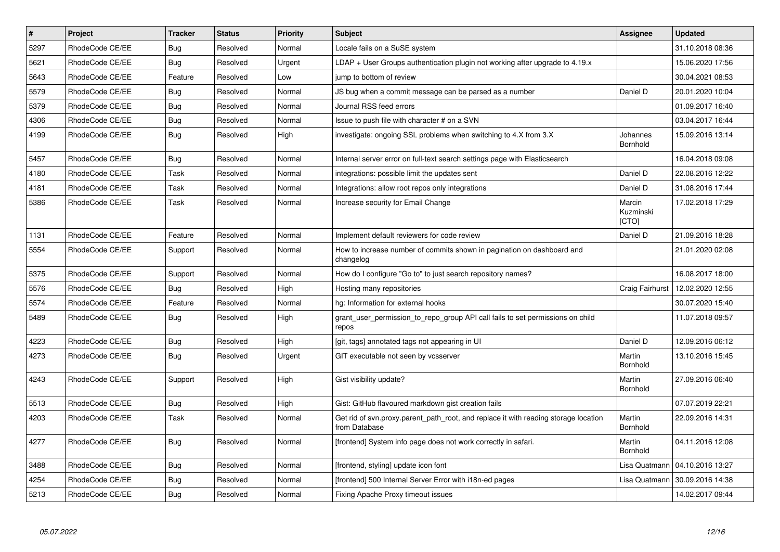| $\vert$ # | Project         | Tracker    | <b>Status</b> | Priority | Subject                                                                                              | <b>Assignee</b>              | <b>Updated</b>   |
|-----------|-----------------|------------|---------------|----------|------------------------------------------------------------------------------------------------------|------------------------------|------------------|
| 5297      | RhodeCode CE/EE | Bug        | Resolved      | Normal   | Locale fails on a SuSE system                                                                        |                              | 31.10.2018 08:36 |
| 5621      | RhodeCode CE/EE | Bug        | Resolved      | Urgent   | $LDAP + User Groups$ authentication plugin not working after upgrade to 4.19. $x$                    |                              | 15.06.2020 17:56 |
| 5643      | RhodeCode CE/EE | Feature    | Resolved      | Low      | jump to bottom of review                                                                             |                              | 30.04.2021 08:53 |
| 5579      | RhodeCode CE/EE | Bug        | Resolved      | Normal   | JS bug when a commit message can be parsed as a number                                               | Daniel D                     | 20.01.2020 10:04 |
| 5379      | RhodeCode CE/EE | Bug        | Resolved      | Normal   | Journal RSS feed errors                                                                              |                              | 01.09.2017 16:40 |
| 4306      | RhodeCode CE/EE | Bug        | Resolved      | Normal   | Issue to push file with character # on a SVN                                                         |                              | 03.04.2017 16:44 |
| 4199      | RhodeCode CE/EE | Bug        | Resolved      | High     | investigate: ongoing SSL problems when switching to 4.X from 3.X                                     | Johannes<br>Bornhold         | 15.09.2016 13:14 |
| 5457      | RhodeCode CE/EE | Bug        | Resolved      | Normal   | Internal server error on full-text search settings page with Elasticsearch                           |                              | 16.04.2018 09:08 |
| 4180      | RhodeCode CE/EE | Task       | Resolved      | Normal   | integrations: possible limit the updates sent                                                        | Daniel D                     | 22.08.2016 12:22 |
| 4181      | RhodeCode CE/EE | Task       | Resolved      | Normal   | Integrations: allow root repos only integrations                                                     | Daniel D                     | 31.08.2016 17:44 |
| 5386      | RhodeCode CE/EE | Task       | Resolved      | Normal   | Increase security for Email Change                                                                   | Marcin<br>Kuzminski<br>[CTO] | 17.02.2018 17:29 |
| 1131      | RhodeCode CE/EE | Feature    | Resolved      | Normal   | Implement default reviewers for code review                                                          | Daniel D                     | 21.09.2016 18:28 |
| 5554      | RhodeCode CE/EE | Support    | Resolved      | Normal   | How to increase number of commits shown in pagination on dashboard and<br>changelog                  |                              | 21.01.2020 02:08 |
| 5375      | RhodeCode CE/EE | Support    | Resolved      | Normal   | How do I configure "Go to" to just search repository names?                                          |                              | 16.08.2017 18:00 |
| 5576      | RhodeCode CE/EE | Bug        | Resolved      | High     | Hosting many repositories                                                                            | Craig Fairhurst              | 12.02.2020 12:55 |
| 5574      | RhodeCode CE/EE | Feature    | Resolved      | Normal   | hg: Information for external hooks                                                                   |                              | 30.07.2020 15:40 |
| 5489      | RhodeCode CE/EE | Bug        | Resolved      | High     | grant user permission to repo group API call fails to set permissions on child<br>repos              |                              | 11.07.2018 09:57 |
| 4223      | RhodeCode CE/EE | <b>Bug</b> | Resolved      | High     | [git, tags] annotated tags not appearing in UI                                                       | Daniel D                     | 12.09.2016 06:12 |
| 4273      | RhodeCode CE/EE | Bug        | Resolved      | Urgent   | GIT executable not seen by vcsserver                                                                 | Martin<br>Bornhold           | 13.10.2016 15:45 |
| 4243      | RhodeCode CE/EE | Support    | Resolved      | High     | Gist visibility update?                                                                              | Martin<br>Bornhold           | 27.09.2016 06:40 |
| 5513      | RhodeCode CE/EE | Bug        | Resolved      | High     | Gist: GitHub flavoured markdown gist creation fails                                                  |                              | 07.07.2019 22:21 |
| 4203      | RhodeCode CE/EE | Task       | Resolved      | Normal   | Get rid of svn.proxy.parent_path_root, and replace it with reading storage location<br>from Database | Martin<br>Bornhold           | 22.09.2016 14:31 |
| 4277      | RhodeCode CE/EE | Bug        | Resolved      | Normal   | [frontend] System info page does not work correctly in safari.                                       | Martin<br><b>Bornhold</b>    | 04.11.2016 12:08 |
| 3488      | RhodeCode CE/EE | Bug        | Resolved      | Normal   | [frontend, styling] update icon font                                                                 | Lisa Quatmann                | 04.10.2016 13:27 |
| 4254      | RhodeCode CE/EE | Bug        | Resolved      | Normal   | [frontend] 500 Internal Server Error with i18n-ed pages                                              | Lisa Quatmann                | 30.09.2016 14:38 |
| 5213      | RhodeCode CE/EE | Bug        | Resolved      | Normal   | Fixing Apache Proxy timeout issues                                                                   |                              | 14.02.2017 09:44 |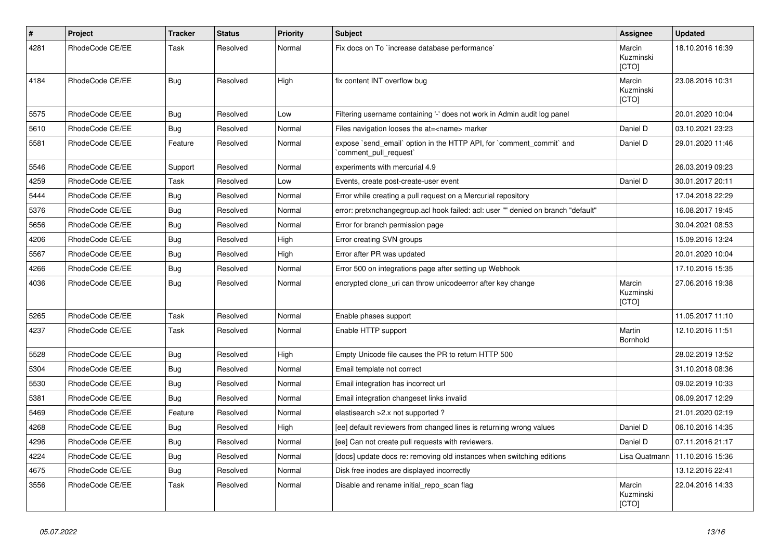| $\sharp$ | Project         | <b>Tracker</b> | <b>Status</b> | <b>Priority</b> | <b>Subject</b>                                                                                | Assignee                            | <b>Updated</b>   |
|----------|-----------------|----------------|---------------|-----------------|-----------------------------------------------------------------------------------------------|-------------------------------------|------------------|
| 4281     | RhodeCode CE/EE | Task           | Resolved      | Normal          | Fix docs on To `increase database performance`                                                | Marcin<br>Kuzminski<br>[CTO]        | 18.10.2016 16:39 |
| 4184     | RhodeCode CE/EE | Bug            | Resolved      | High            | fix content INT overflow bug                                                                  | Marcin<br>Kuzminski<br><b>[CTO]</b> | 23.08.2016 10:31 |
| 5575     | RhodeCode CE/EE | <b>Bug</b>     | Resolved      | Low             | Filtering username containing '-' does not work in Admin audit log panel                      |                                     | 20.01.2020 10:04 |
| 5610     | RhodeCode CE/EE | Bug            | Resolved      | Normal          | Files navigation looses the at= <name> marker</name>                                          | Daniel D                            | 03.10.2021 23:23 |
| 5581     | RhodeCode CE/EE | Feature        | Resolved      | Normal          | expose `send_email` option in the HTTP API, for `comment_commit` and<br>comment_pull_request` | Daniel D                            | 29.01.2020 11:46 |
| 5546     | RhodeCode CE/EE | Support        | Resolved      | Normal          | experiments with mercurial 4.9                                                                |                                     | 26.03.2019 09:23 |
| 4259     | RhodeCode CE/EE | Task           | Resolved      | Low             | Events, create post-create-user event                                                         | Daniel D                            | 30.01.2017 20:11 |
| 5444     | RhodeCode CE/EE | <b>Bug</b>     | Resolved      | Normal          | Error while creating a pull request on a Mercurial repository                                 |                                     | 17.04.2018 22:29 |
| 5376     | RhodeCode CE/EE | Bug            | Resolved      | Normal          | error: pretxnchangegroup.acl hook failed: acl: user "" denied on branch "default"             |                                     | 16.08.2017 19:45 |
| 5656     | RhodeCode CE/EE | <b>Bug</b>     | Resolved      | Normal          | Error for branch permission page                                                              |                                     | 30.04.2021 08:53 |
| 4206     | RhodeCode CE/EE | Bug            | Resolved      | High            | Error creating SVN groups                                                                     |                                     | 15.09.2016 13:24 |
| 5567     | RhodeCode CE/EE | Bug            | Resolved      | High            | Error after PR was updated                                                                    |                                     | 20.01.2020 10:04 |
| 4266     | RhodeCode CE/EE | Bug            | Resolved      | Normal          | Error 500 on integrations page after setting up Webhook                                       |                                     | 17.10.2016 15:35 |
| 4036     | RhodeCode CE/EE | Bug            | Resolved      | Normal          | encrypted clone_uri can throw unicodeerror after key change                                   | Marcin<br>Kuzminski<br>[CTO]        | 27.06.2016 19:38 |
| 5265     | RhodeCode CE/EE | Task           | Resolved      | Normal          | Enable phases support                                                                         |                                     | 11.05.2017 11:10 |
| 4237     | RhodeCode CE/EE | Task           | Resolved      | Normal          | Enable HTTP support                                                                           | Martin<br>Bornhold                  | 12.10.2016 11:51 |
| 5528     | RhodeCode CE/EE | Bug            | Resolved      | High            | Empty Unicode file causes the PR to return HTTP 500                                           |                                     | 28.02.2019 13:52 |
| 5304     | RhodeCode CE/EE | <b>Bug</b>     | Resolved      | Normal          | Email template not correct                                                                    |                                     | 31.10.2018 08:36 |
| 5530     | RhodeCode CE/EE | Bug            | Resolved      | Normal          | Email integration has incorrect url                                                           |                                     | 09.02.2019 10:33 |
| 5381     | RhodeCode CE/EE | <b>Bug</b>     | Resolved      | Normal          | Email integration changeset links invalid                                                     |                                     | 06.09.2017 12:29 |
| 5469     | RhodeCode CE/EE | Feature        | Resolved      | Normal          | elastisearch > 2.x not supported?                                                             |                                     | 21.01.2020 02:19 |
| 4268     | RhodeCode CE/EE | Bug            | Resolved      | High            | [ee] default reviewers from changed lines is returning wrong values                           | Daniel D                            | 06.10.2016 14:35 |
| 4296     | RhodeCode CE/EE | Bug            | Resolved      | Normal          | [ee] Can not create pull requests with reviewers.                                             | Daniel D                            | 07.11.2016 21:17 |
| 4224     | RhodeCode CE/EE | Bug            | Resolved      | Normal          | [docs] update docs re: removing old instances when switching editions                         | Lisa Quatmann                       | 11.10.2016 15:36 |
| 4675     | RhodeCode CE/EE | Bug            | Resolved      | Normal          | Disk free inodes are displayed incorrectly                                                    |                                     | 13.12.2016 22:41 |
| 3556     | RhodeCode CE/EE | Task           | Resolved      | Normal          | Disable and rename initial_repo_scan flag                                                     | Marcin<br>Kuzminski<br>[CTO]        | 22.04.2016 14:33 |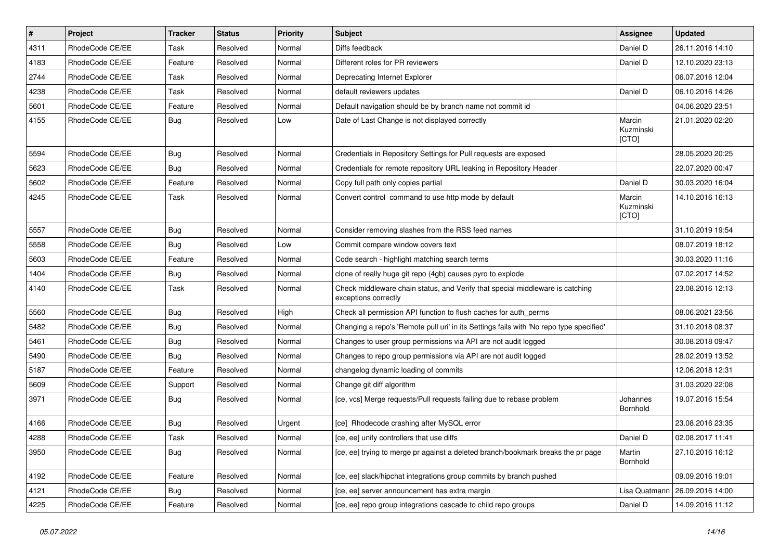| $\sharp$ | Project         | <b>Tracker</b> | <b>Status</b> | <b>Priority</b> | <b>Subject</b>                                                                                        | <b>Assignee</b>              | <b>Updated</b>   |
|----------|-----------------|----------------|---------------|-----------------|-------------------------------------------------------------------------------------------------------|------------------------------|------------------|
| 4311     | RhodeCode CE/EE | Task           | Resolved      | Normal          | Diffs feedback                                                                                        | Daniel D                     | 26.11.2016 14:10 |
| 4183     | RhodeCode CE/EE | Feature        | Resolved      | Normal          | Different roles for PR reviewers                                                                      | Daniel D                     | 12.10.2020 23:13 |
| 2744     | RhodeCode CE/EE | Task           | Resolved      | Normal          | Deprecating Internet Explorer                                                                         |                              | 06.07.2016 12:04 |
| 4238     | RhodeCode CE/EE | Task           | Resolved      | Normal          | default reviewers updates                                                                             | Daniel D                     | 06.10.2016 14:26 |
| 5601     | RhodeCode CE/EE | Feature        | Resolved      | Normal          | Default navigation should be by branch name not commit id                                             |                              | 04.06.2020 23:51 |
| 4155     | RhodeCode CE/EE | Bug            | Resolved      | Low             | Date of Last Change is not displayed correctly                                                        | Marcin<br>Kuzminski<br>[CTO] | 21.01.2020 02:20 |
| 5594     | RhodeCode CE/EE | Bug            | Resolved      | Normal          | Credentials in Repository Settings for Pull requests are exposed                                      |                              | 28.05.2020 20:25 |
| 5623     | RhodeCode CE/EE | Bug            | Resolved      | Normal          | Credentials for remote repository URL leaking in Repository Header                                    |                              | 22.07.2020 00:47 |
| 5602     | RhodeCode CE/EE | Feature        | Resolved      | Normal          | Copy full path only copies partial                                                                    | Daniel D                     | 30.03.2020 16:04 |
| 4245     | RhodeCode CE/EE | Task           | Resolved      | Normal          | Convert control command to use http mode by default                                                   | Marcin<br>Kuzminski<br>[CTO] | 14.10.2016 16:13 |
| 5557     | RhodeCode CE/EE | Bug            | Resolved      | Normal          | Consider removing slashes from the RSS feed names                                                     |                              | 31.10.2019 19:54 |
| 5558     | RhodeCode CE/EE | Bug            | Resolved      | Low             | Commit compare window covers text                                                                     |                              | 08.07.2019 18:12 |
| 5603     | RhodeCode CE/EE | Feature        | Resolved      | Normal          | Code search - highlight matching search terms                                                         |                              | 30.03.2020 11:16 |
| 1404     | RhodeCode CE/EE | <b>Bug</b>     | Resolved      | Normal          | clone of really huge git repo (4gb) causes pyro to explode                                            |                              | 07.02.2017 14:52 |
| 4140     | RhodeCode CE/EE | Task           | Resolved      | Normal          | Check middleware chain status, and Verify that special middleware is catching<br>exceptions correctly |                              | 23.08.2016 12:13 |
| 5560     | RhodeCode CE/EE | Bug            | Resolved      | High            | Check all permission API function to flush caches for auth_perms                                      |                              | 08.06.2021 23:56 |
| 5482     | RhodeCode CE/EE | <b>Bug</b>     | Resolved      | Normal          | Changing a repo's 'Remote pull uri' in its Settings fails with 'No repo type specified'               |                              | 31.10.2018 08:37 |
| 5461     | RhodeCode CE/EE | Bug            | Resolved      | Normal          | Changes to user group permissions via API are not audit logged                                        |                              | 30.08.2018 09:47 |
| 5490     | RhodeCode CE/EE | Bug            | Resolved      | Normal          | Changes to repo group permissions via API are not audit logged                                        |                              | 28.02.2019 13:52 |
| 5187     | RhodeCode CE/EE | Feature        | Resolved      | Normal          | changelog dynamic loading of commits                                                                  |                              | 12.06.2018 12:31 |
| 5609     | RhodeCode CE/EE | Support        | Resolved      | Normal          | Change git diff algorithm                                                                             |                              | 31.03.2020 22:08 |
| 3971     | RhodeCode CE/EE | Bug            | Resolved      | Normal          | [ce, vcs] Merge requests/Pull requests failing due to rebase problem                                  | Johannes<br>Bornhold         | 19.07.2016 15:54 |
| 4166     | RhodeCode CE/EE | Bug            | Resolved      | Urgent          | [ce] Rhodecode crashing after MySQL error                                                             |                              | 23.08.2016 23:35 |
| 4288     | RhodeCode CE/EE | Task           | Resolved      | Normal          | [ce, ee] unify controllers that use diffs                                                             | Daniel D                     | 02.08.2017 11:41 |
| 3950     | RhodeCode CE/EE | <b>Bug</b>     | Resolved      | Normal          | [ce, ee] trying to merge pr against a deleted branch/bookmark breaks the pr page                      | Martin<br>Bornhold           | 27.10.2016 16:12 |
| 4192     | RhodeCode CE/EE | Feature        | Resolved      | Normal          | [ce, ee] slack/hipchat integrations group commits by branch pushed                                    |                              | 09.09.2016 19:01 |
| 4121     | RhodeCode CE/EE | <b>Bug</b>     | Resolved      | Normal          | [ce, ee] server announcement has extra margin                                                         | Lisa Quatmann                | 26.09.2016 14:00 |
| 4225     | RhodeCode CE/EE | Feature        | Resolved      | Normal          | [ce, ee] repo group integrations cascade to child repo groups                                         | Daniel D                     | 14.09.2016 11:12 |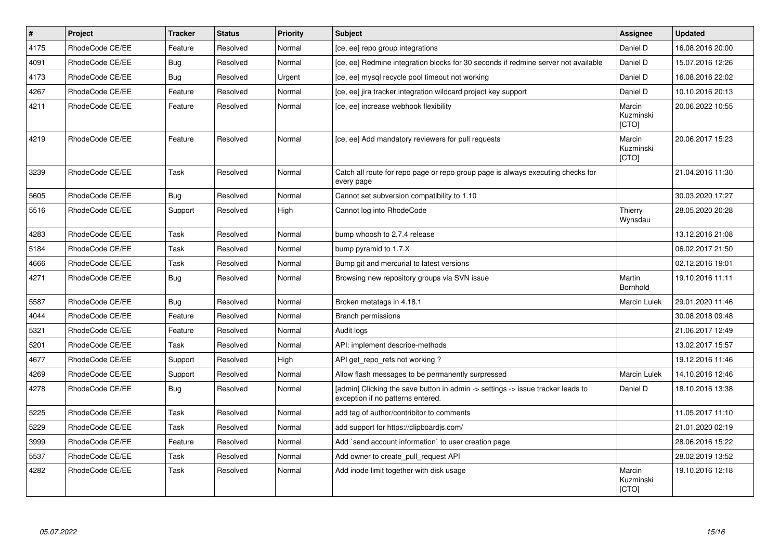| $\vert$ # | Project         | <b>Tracker</b> | <b>Status</b> | <b>Priority</b> | <b>Subject</b>                                                                                                       | Assignee                            | <b>Updated</b>   |
|-----------|-----------------|----------------|---------------|-----------------|----------------------------------------------------------------------------------------------------------------------|-------------------------------------|------------------|
| 4175      | RhodeCode CE/EE | Feature        | Resolved      | Normal          | [ce, ee] repo group integrations                                                                                     | Daniel D                            | 16.08.2016 20:00 |
| 4091      | RhodeCode CE/EE | Bug            | Resolved      | Normal          | [ce, ee] Redmine integration blocks for 30 seconds if redmine server not available                                   | Daniel D                            | 15.07.2016 12:26 |
| 4173      | RhodeCode CE/EE | Bug            | Resolved      | Urgent          | [ce, ee] mysql recycle pool timeout not working                                                                      | Daniel D                            | 16.08.2016 22:02 |
| 4267      | RhodeCode CE/EE | Feature        | Resolved      | Normal          | [ce, ee] jira tracker integration wildcard project key support                                                       | Daniel D                            | 10.10.2016 20:13 |
| 4211      | RhodeCode CE/EE | Feature        | Resolved      | Normal          | [ce, ee] increase webhook flexibility                                                                                | Marcin<br>Kuzminski<br><b>[CTO]</b> | 20.06.2022 10:55 |
| 4219      | RhodeCode CE/EE | Feature        | Resolved      | Normal          | [ce, ee] Add mandatory reviewers for pull requests                                                                   | Marcin<br>Kuzminski<br><b>[CTO]</b> | 20.06.2017 15:23 |
| 3239      | RhodeCode CE/EE | Task           | Resolved      | Normal          | Catch all route for repo page or repo group page is always executing checks for<br>every page                        |                                     | 21.04.2016 11:30 |
| 5605      | RhodeCode CE/EE | Bug            | Resolved      | Normal          | Cannot set subversion compatibility to 1.10                                                                          |                                     | 30.03.2020 17:27 |
| 5516      | RhodeCode CE/EE | Support        | Resolved      | High            | Cannot log into RhodeCode                                                                                            | Thierry<br>Wynsdau                  | 28.05.2020 20:28 |
| 4283      | RhodeCode CE/EE | Task           | Resolved      | Normal          | bump whoosh to 2.7.4 release                                                                                         |                                     | 13.12.2016 21:08 |
| 5184      | RhodeCode CE/EE | Task           | Resolved      | Normal          | bump pyramid to 1.7.X                                                                                                |                                     | 06.02.2017 21:50 |
| 4666      | RhodeCode CE/EE | <b>Task</b>    | Resolved      | Normal          | Bump git and mercurial to latest versions                                                                            |                                     | 02.12.2016 19:01 |
| 4271      | RhodeCode CE/EE | Bug            | Resolved      | Normal          | Browsing new repository groups via SVN issue                                                                         | Martin<br>Bornhold                  | 19.10.2016 11:11 |
| 5587      | RhodeCode CE/EE | Bug            | Resolved      | Normal          | Broken metatags in 4.18.1                                                                                            | <b>Marcin Lulek</b>                 | 29.01.2020 11:46 |
| 4044      | RhodeCode CE/EE | Feature        | Resolved      | Normal          | Branch permissions                                                                                                   |                                     | 30.08.2018 09:48 |
| 5321      | RhodeCode CE/EE | Feature        | Resolved      | Normal          | Audit logs                                                                                                           |                                     | 21.06.2017 12:49 |
| 5201      | RhodeCode CE/EE | <b>Task</b>    | Resolved      | Normal          | API: implement describe-methods                                                                                      |                                     | 13.02.2017 15:57 |
| 4677      | RhodeCode CE/EE | Support        | Resolved      | High            | API get repo refs not working?                                                                                       |                                     | 19.12.2016 11:46 |
| 4269      | RhodeCode CE/EE | Support        | Resolved      | Normal          | Allow flash messages to be permanently surpressed                                                                    | <b>Marcin Lulek</b>                 | 14.10.2016 12:46 |
| 4278      | RhodeCode CE/EE | Bug            | Resolved      | Normal          | [admin] Clicking the save button in admin -> settings -> issue tracker leads to<br>exception if no patterns entered. | Daniel D                            | 18.10.2016 13:38 |
| 5225      | RhodeCode CE/EE | Task           | Resolved      | Normal          | add tag of author/contribitor to comments                                                                            |                                     | 11.05.2017 11:10 |
| 5229      | RhodeCode CE/EE | Task           | Resolved      | Normal          | add support for https://clipboardjs.com/                                                                             |                                     | 21.01.2020 02:19 |
| 3999      | RhodeCode CE/EE | Feature        | Resolved      | Normal          | Add `send account information` to user creation page                                                                 |                                     | 28.06.2016 15:22 |
| 5537      | RhodeCode CE/EE | Task           | Resolved      | Normal          | Add owner to create pull request API                                                                                 |                                     | 28.02.2019 13:52 |
| 4282      | RhodeCode CE/EE | Task           | Resolved      | Normal          | Add inode limit together with disk usage                                                                             | Marcin<br>Kuzminski<br>[CTO]        | 19.10.2016 12:18 |